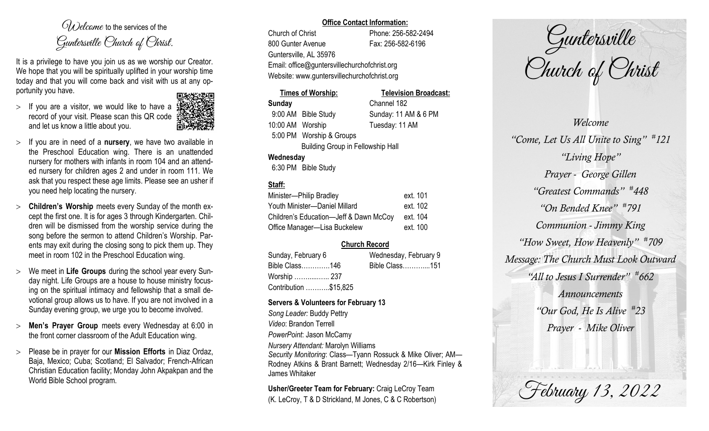$O(\lambda)$  elcame to the services of the Guntersville Church of Christ.

It is a privilege to have you join us as we worship our Creator. We hope that you will be spiritually uplifted in your worship time today and that you will come back and visit with us at any opportunity you have.

 $>$  If you are a visitor, we would like to have a record of your visit. Please scan this QR code and let us know a little about you.



- $>$  If you are in need of a **nursery**, we have two available in the Preschool Education wing. There is an unattended nursery for mothers with infants in room 104 and an attended nursery for children ages 2 and under in room 111. We ask that you respect these age limits. Please see an usher if you need help locating the nursery.
- **Children's Worship** meets every Sunday of the month except the first one. It is for ages 3 through Kindergarten. Children will be dismissed from the worship service during the song before the sermon to attend Children's Worship. Parents may exit during the closing song to pick them up. They meet in room 102 in the Preschool Education wing.
- We meet in **Life Groups** during the school year every Sunday night. Life Groups are a house to house ministry focusing on the spiritual intimacy and fellowship that a small devotional group allows us to have. If you are not involved in a Sunday evening group, we urge you to become involved.
- **Men's Prayer Group** meets every Wednesday at 6:00 in the front corner classroom of the Adult Education wing.
- Please be in prayer for our **Mission Efforts** in Diaz Ordaz, Baja, Mexico; Cuba; Scotland; El Salvador; French-African Christian Education facility; Monday John Akpakpan and the World Bible School program.

### **Office Contact Information:**

Church of Christ Phone: 256-582-2494 800 Gunter Avenue Fax: 256-582-6196 Guntersville, AL 35976 Email: office@guntersvillechurchofchrist.org Website: www.guntersvillechurchofchrist.org

#### **Times of Worship: Television Broadcast: Sunday** Channel 182

9:00 AM Bible Study Sunday: 11 AM & 6 PM 10:00 AM Worship Tuesday: 11 AM 5:00 PM Worship & Groups Building Group in Fellowship Hall

### **Wednesday**

6:30 PM Bible Study

## **Staff:**

| Minister-Philip Bradley                | ext. 101 |
|----------------------------------------|----------|
| Youth Minister-Daniel Millard          | ext. 102 |
| Children's Education-Jeff & Dawn McCoy | ext. 104 |
| Office Manager-Lisa Buckelew           | ext. 100 |

# **Church Record**

| Sunday, February 6    |  | Wednesday, February 9 |  |
|-----------------------|--|-----------------------|--|
| Bible Class146        |  | Bible Class151        |  |
| Worship  237          |  |                       |  |
| Contribution \$15,825 |  |                       |  |

### **Servers & Volunteers for February 13**

*Song Leader:* Buddy Pettry *Video*: Brandon Terrell *PowerPoint*: Jason McCamy *Nursery Attendant:* Marolyn Williams *Security Monitoring*: Class—Tyann Rossuck & Mike Oliver; AM— Rodney Atkins & Brant Barnett; Wednesday 2/16—Kirk Finley & James Whitaker

**Usher/Greeter Team for February:** Craig LeCroy Team (K. LeCroy, T & D Strickland, M Jones, C & C Robertson)

Guntersville Church of Christ

*Welcome "Come, Let Us All Unite to Sing" # 121 "Living Hope" Prayer - George Gillen "Greatest Commands" # 448 "On Bended Knee" # 791 Communion - Jimmy King "How Sweet, How Heavenly" # 709 Message: The Church Must Look Outward "All to Jesus I Surrender" # 662 Announcements "Our God, He Is Alive # 23 Prayer - Mike Oliver*

February 13, 2022